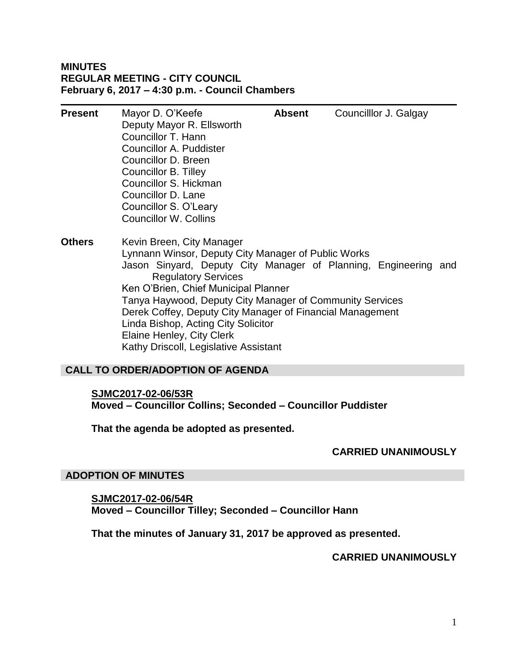## **MINUTES REGULAR MEETING - CITY COUNCIL February 6, 2017 – 4:30 p.m. - Council Chambers**

| <b>Present</b> | Mayor D. O'Keefe<br>Deputy Mayor R. Ellsworth<br>Councillor T. Hann<br>Councillor A. Puddister<br>Councillor D. Breen<br>Councillor B. Tilley<br>Councillor S. Hickman<br>Councillor D. Lane<br>Councillor S. O'Leary<br><b>Councillor W. Collins</b>                                                                                                                                        | <b>Absent</b> |                                                                 | Councilllor J. Galgay |  |
|----------------|----------------------------------------------------------------------------------------------------------------------------------------------------------------------------------------------------------------------------------------------------------------------------------------------------------------------------------------------------------------------------------------------|---------------|-----------------------------------------------------------------|-----------------------|--|
| <b>Others</b>  | Kevin Breen, City Manager<br>Lynnann Winsor, Deputy City Manager of Public Works<br><b>Regulatory Services</b><br>Ken O'Brien, Chief Municipal Planner<br>Tanya Haywood, Deputy City Manager of Community Services<br>Derek Coffey, Deputy City Manager of Financial Management<br>Linda Bishop, Acting City Solicitor<br>Elaine Henley, City Clerk<br>Kathy Driscoll, Legislative Assistant |               | Jason Sinyard, Deputy City Manager of Planning, Engineering and |                       |  |

## **CALL TO ORDER/ADOPTION OF AGENDA**

## **SJMC2017-02-06/53R Moved – Councillor Collins; Seconded – Councillor Puddister**

**That the agenda be adopted as presented.**

## **CARRIED UNANIMOUSLY**

## **ADOPTION OF MINUTES**

**SJMC2017-02-06/54R Moved – Councillor Tilley; Seconded – Councillor Hann**

**That the minutes of January 31, 2017 be approved as presented.**

**CARRIED UNANIMOUSLY**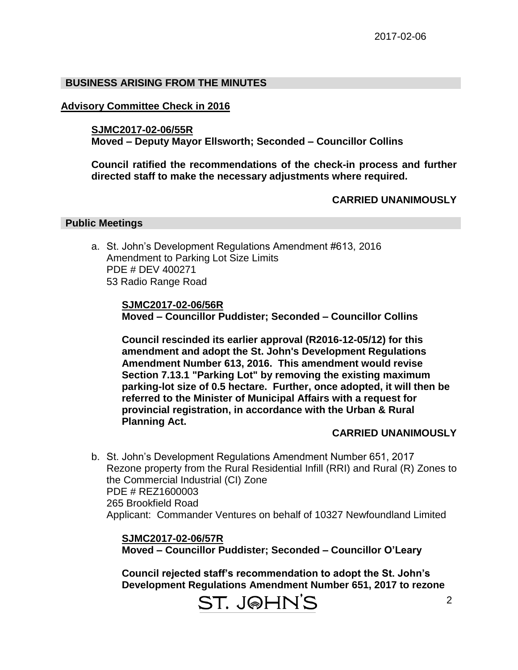## **BUSINESS ARISING FROM THE MINUTES**

## **Advisory Committee Check in 2016**

#### **SJMC2017-02-06/55R**

**Moved – Deputy Mayor Ellsworth; Seconded – Councillor Collins**

**Council ratified the recommendations of the check-in process and further directed staff to make the necessary adjustments where required.**

## **CARRIED UNANIMOUSLY**

#### **Public Meetings**

a. St. John's Development Regulations Amendment #613, 2016 Amendment to Parking Lot Size Limits PDE # DEV 400271 53 Radio Range Road

> **SJMC2017-02-06/56R Moved – Councillor Puddister; Seconded – Councillor Collins**

**Council rescinded its earlier approval (R2016-12-05/12) for this amendment and adopt the St. John's Development Regulations Amendment Number 613, 2016. This amendment would revise Section 7.13.1 "Parking Lot" by removing the existing maximum parking-lot size of 0.5 hectare. Further, once adopted, it will then be referred to the Minister of Municipal Affairs with a request for provincial registration, in accordance with the Urban & Rural Planning Act.**

## **CARRIED UNANIMOUSLY**

b. St. John's Development Regulations Amendment Number 651, 2017 Rezone property from the Rural Residential Infill (RRI) and Rural (R) Zones to the Commercial Industrial (CI) Zone PDE # REZ1600003 265 Brookfield Road Applicant: Commander Ventures on behalf of 10327 Newfoundland Limited

**SJMC2017-02-06/57R Moved – Councillor Puddister; Seconded – Councillor O'Leary**

**Council rejected staff's recommendation to adopt the St. John's Development Regulations Amendment Number 651, 2017 to rezone** 

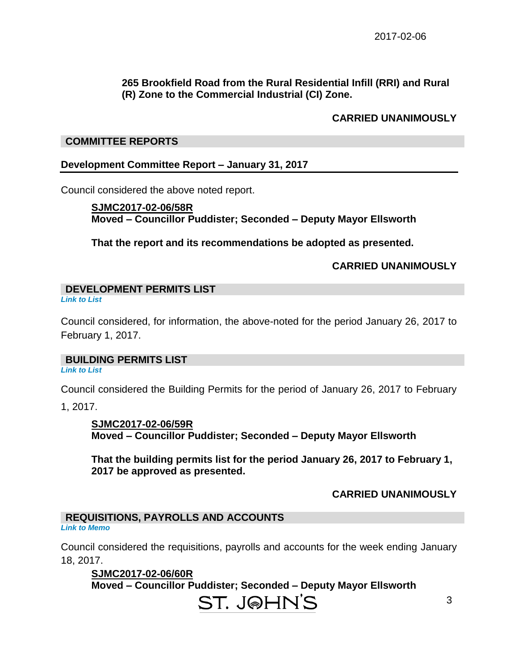## **265 Brookfield Road from the Rural Residential Infill (RRI) and Rural (R) Zone to the Commercial Industrial (CI) Zone.**

## **CARRIED UNANIMOUSLY**

#### **COMMITTEE REPORTS**

#### **Development Committee Report – January 31, 2017**

Council considered the above noted report.

**SJMC2017-02-06/58R Moved – Councillor Puddister; Seconded – Deputy Mayor Ellsworth**

**That the report and its recommendations be adopted as presented.**

#### **CARRIED UNANIMOUSLY**

**DEVELOPMENT PERMITS LIST**  *Link to List*

Council considered, for information, the above-noted for the period January 26, 2017 to February 1, 2017.

#### **BUILDING PERMITS LIST**

*Link to List*

Council considered the Building Permits for the period of January 26, 2017 to February

1, 2017.

**SJMC2017-02-06/59R Moved – Councillor Puddister; Seconded – Deputy Mayor Ellsworth**

**That the building permits list for the period January 26, 2017 to February 1, 2017 be approved as presented.**

## **CARRIED UNANIMOUSLY**

#### **REQUISITIONS, PAYROLLS AND ACCOUNTS** *Link to Memo*

Council considered the requisitions, payrolls and accounts for the week ending January 18, 2017.

**SJMC2017-02-06/60R Moved – Councillor Puddister; Seconded – Deputy Mayor Ellsworth**

# ST. J@HN'S